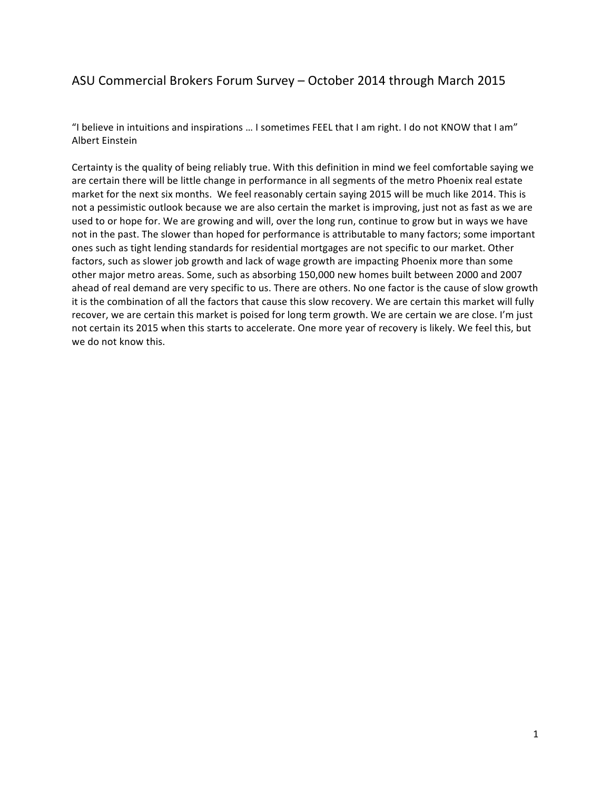# ASU Commercial Brokers Forum Survey - October 2014 through March 2015

"I believe in intuitions and inspirations ... I sometimes FEEL that I am right. I do not KNOW that I am" **Albert Einstein** 

Certainty is the quality of being reliably true. With this definition in mind we feel comfortable saying we are certain there will be little change in performance in all segments of the metro Phoenix real estate market for the next six months. We feel reasonably certain saying 2015 will be much like 2014. This is not a pessimistic outlook because we are also certain the market is improving, just not as fast as we are used to or hope for. We are growing and will, over the long run, continue to grow but in ways we have not in the past. The slower than hoped for performance is attributable to many factors; some important ones such as tight lending standards for residential mortgages are not specific to our market. Other factors, such as slower job growth and lack of wage growth are impacting Phoenix more than some other major metro areas. Some, such as absorbing 150,000 new homes built between 2000 and 2007 ahead of real demand are very specific to us. There are others. No one factor is the cause of slow growth it is the combination of all the factors that cause this slow recovery. We are certain this market will fully recover, we are certain this market is poised for long term growth. We are certain we are close. I'm just not certain its 2015 when this starts to accelerate. One more year of recovery is likely. We feel this, but we do not know this.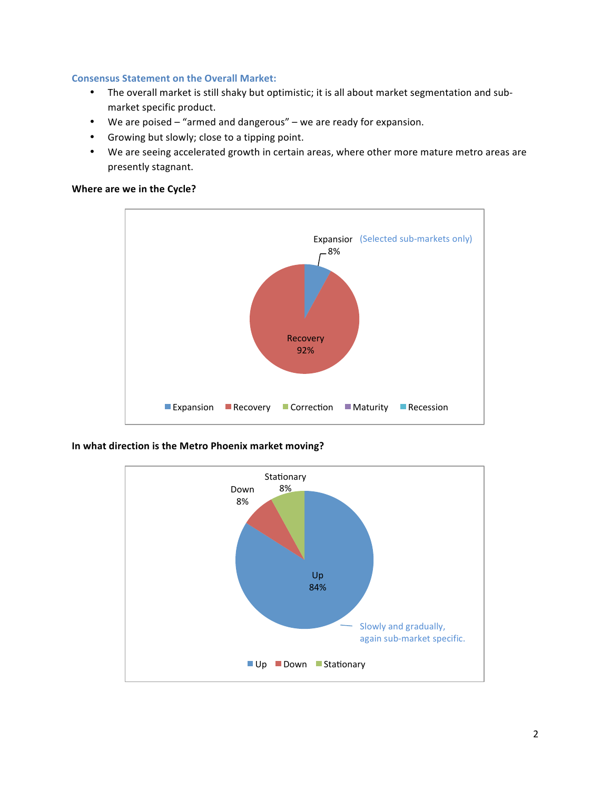### **Consensus Statement on the Overall Market:**

- The overall market is still shaky but optimistic; it is all about market segmentation and submarket specific product.
- We are poised  $-$  "armed and dangerous"  $-$  we are ready for expansion.
- Growing but slowly; close to a tipping point.
- We are seeing accelerated growth in certain areas, where other more mature metro areas are presently stagnant.

# **Where are we in the Cycle?**



### In what direction is the Metro Phoenix market moving?

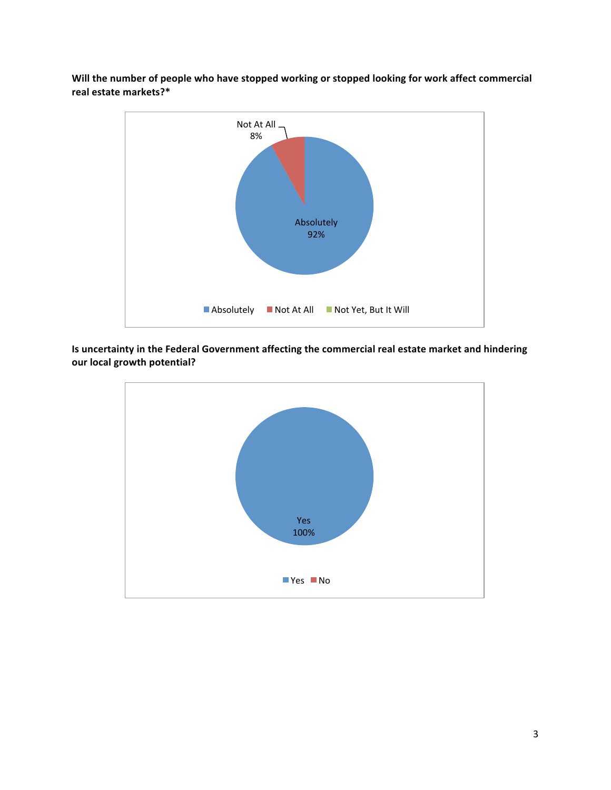Will the number of people who have stopped working or stopped looking for work affect commercial **real estate markets?\***



Is uncertainty in the Federal Government affecting the commercial real estate market and hindering **our local growth potential?** 

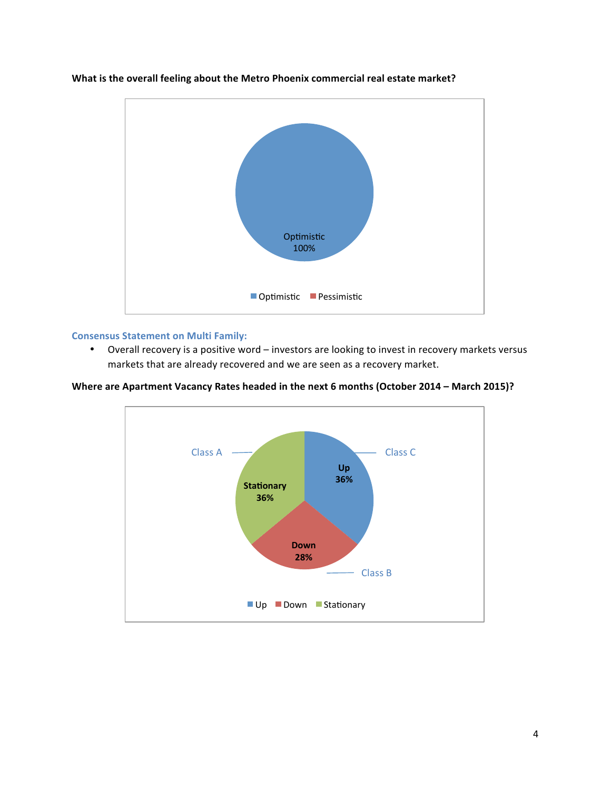

# **What is the overall feeling about the Metro Phoenix commercial real estate market?**

#### **Consensus Statement on Multi Family:**

• Overall recovery is a positive word – investors are looking to invest in recovery markets versus markets that are already recovered and we are seen as a recovery market.



Up Down Stationary

**Where are Apartment Vacancy Rates headed in the next 6 months (October 2014 - March 2015)?**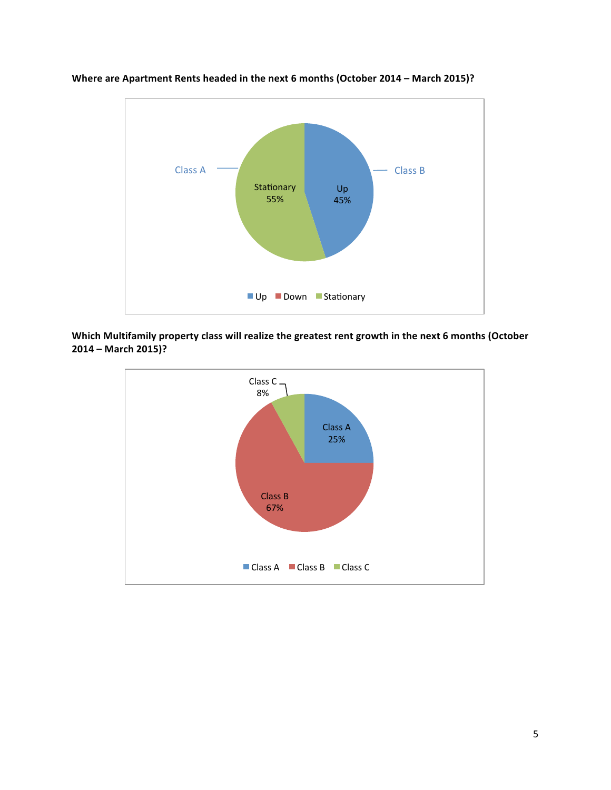

**Where are Apartment Rents headed in the next 6 months (October 2014 – March 2015)?** 

Which Multifamily property class will realize the greatest rent growth in the next 6 months (October **2014 – March 2015)?**

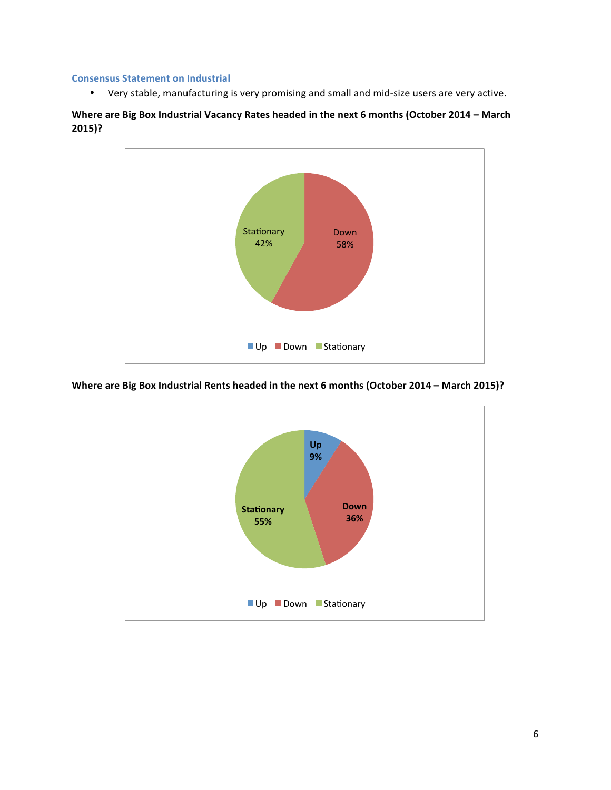#### **Consensus Statement on Industrial**

• Very stable, manufacturing is very promising and small and mid-size users are very active.

# Where are Big Box Industrial Vacancy Rates headed in the next 6 months (October 2014 - March **2015)?**



#### **Where are Big Box Industrial Rents headed in the next 6 months (October 2014 - March 2015)?**

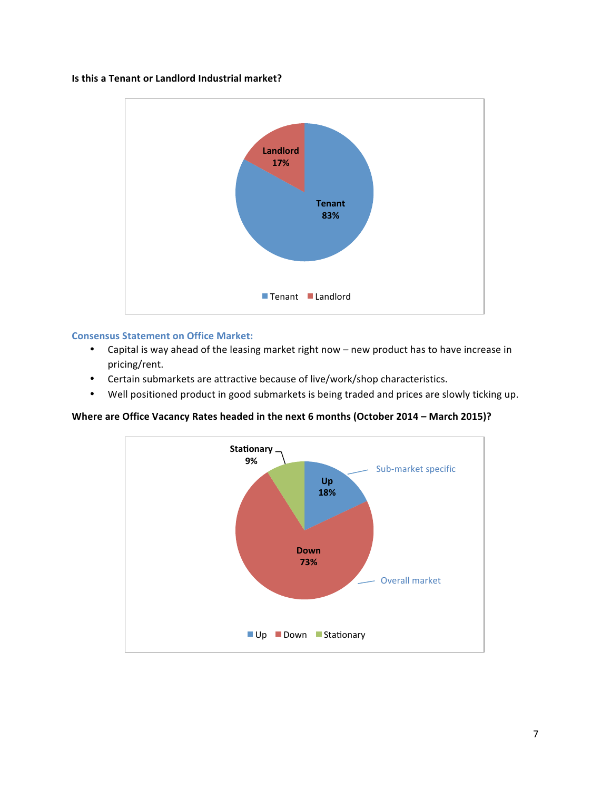#### **Is this a Tenant or Landlord Industrial market?**



# **Consensus Statement on Office Market:**

- Capital is way ahead of the leasing market right now new product has to have increase in pricing/rent.
- Certain submarkets are attractive because of live/work/shop characteristics.
- Well positioned product in good submarkets is being traded and prices are slowly ticking up.

# **Where are Office Vacancy Rates headed in the next 6 months (October 2014 - March 2015)?**

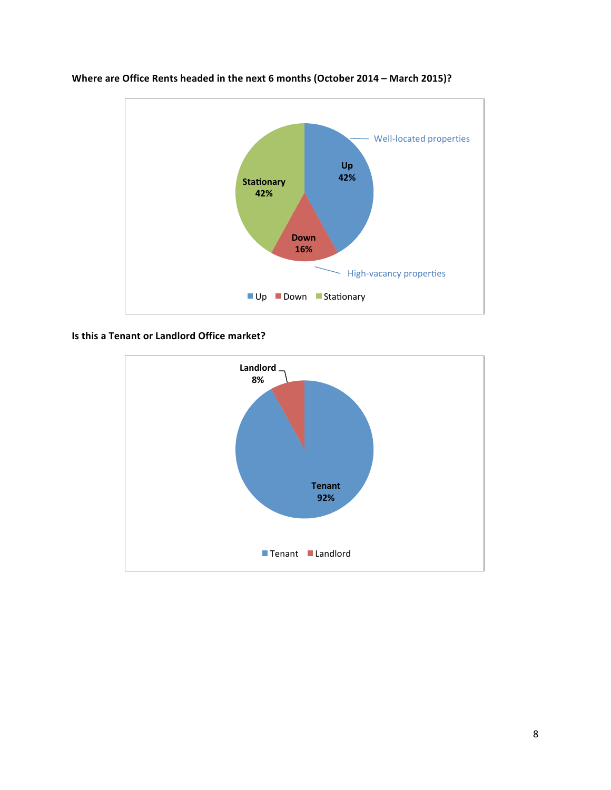



**Is this a Tenant or Landlord Office market?** 

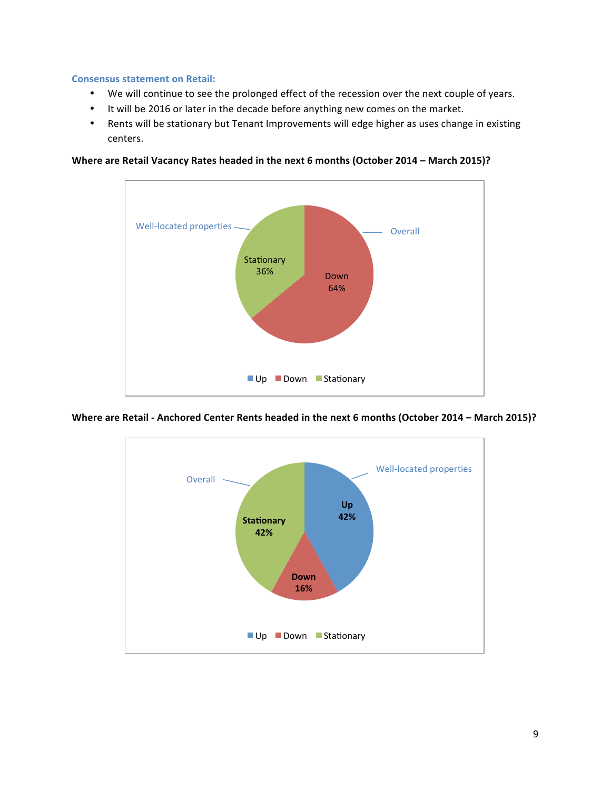#### **Consensus statement on Retail:**

- We will continue to see the prolonged effect of the recession over the next couple of years.
- It will be 2016 or later in the decade before anything new comes on the market.
- Rents will be stationary but Tenant Improvements will edge higher as uses change in existing centers.



**Where are Retail Vacancy Rates headed in the next 6 months (October 2014 – March 2015)?** 

**Where are Retail - Anchored Center Rents headed in the next 6 months (October 2014 – March 2015)?** 

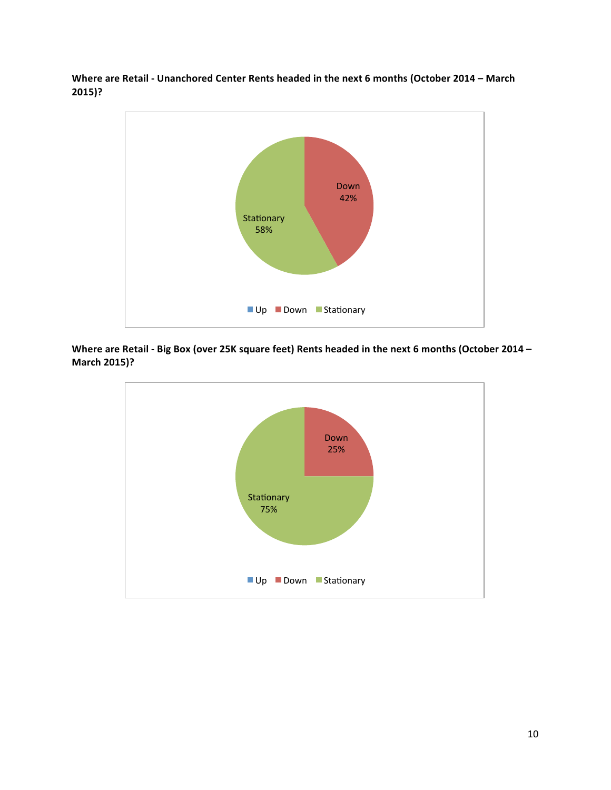Where are Retail - Unanchored Center Rents headed in the next 6 months (October 2014 – March **2015)?**



Where are Retail - Big Box (over 25K square feet) Rents headed in the next 6 months (October 2014 – **March 2015)?**

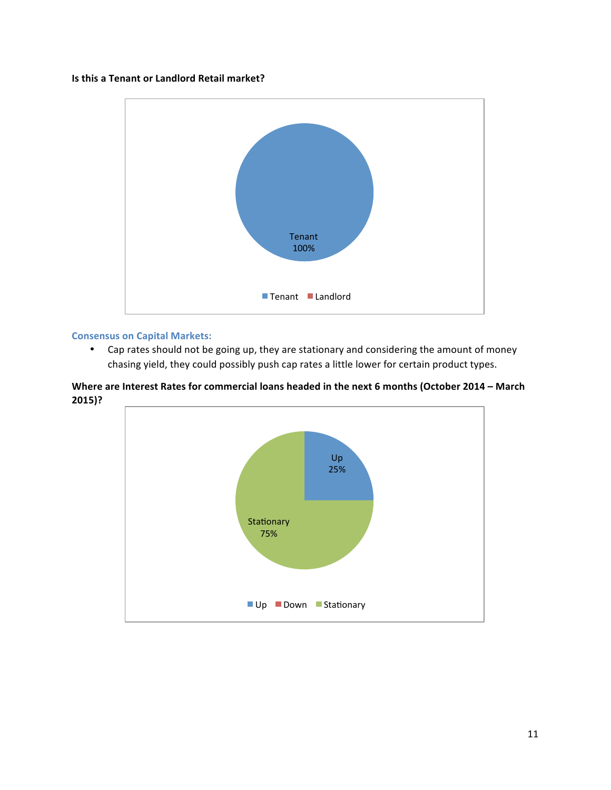# **Is this a Tenant or Landlord Retail market?**



# **Consensus on Capital Markets:**

• Cap rates should not be going up, they are stationary and considering the amount of money chasing yield, they could possibly push cap rates a little lower for certain product types.

Where are Interest Rates for commercial loans headed in the next 6 months (October 2014 – March **2015)?**

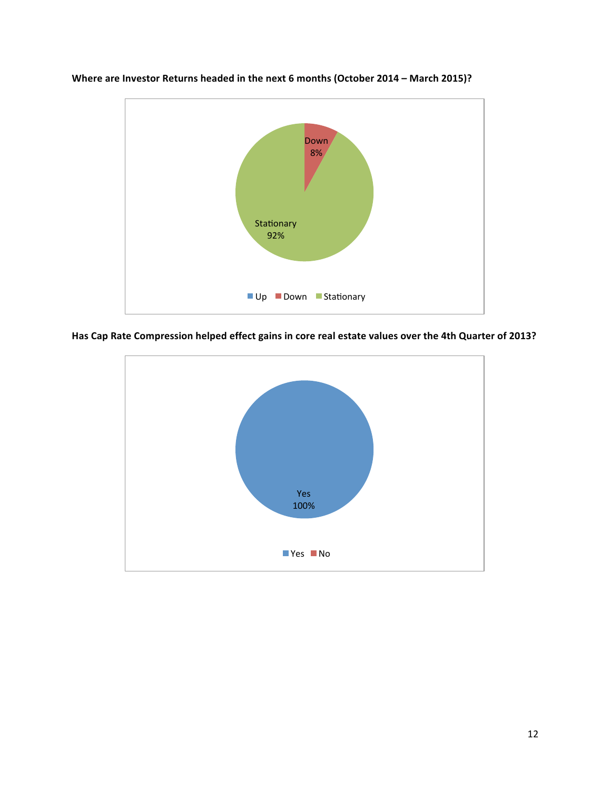

**Where are Investor Returns headed in the next 6 months (October 2014 – March 2015)?** 

Has Cap Rate Compression helped effect gains in core real estate values over the 4th Quarter of 2013?

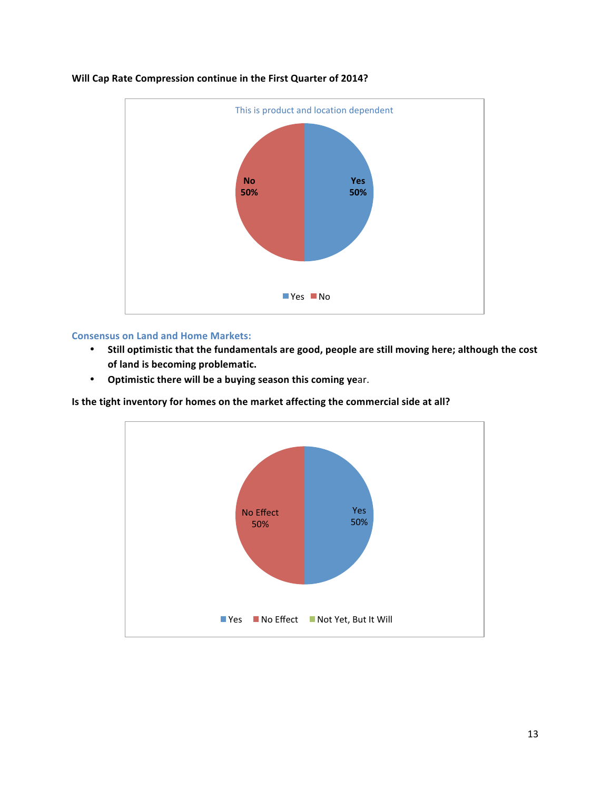

#### **Will Cap Rate Compression continue in the First Quarter of 2014?**

#### **Consensus on Land and Home Markets:**

- Still optimistic that the fundamentals are good, people are still moving here; although the cost of land is becoming problematic.
- **•** Optimistic there will be a buying season this coming year.

**Is the tight inventory for homes on the market affecting the commercial side at all?** 

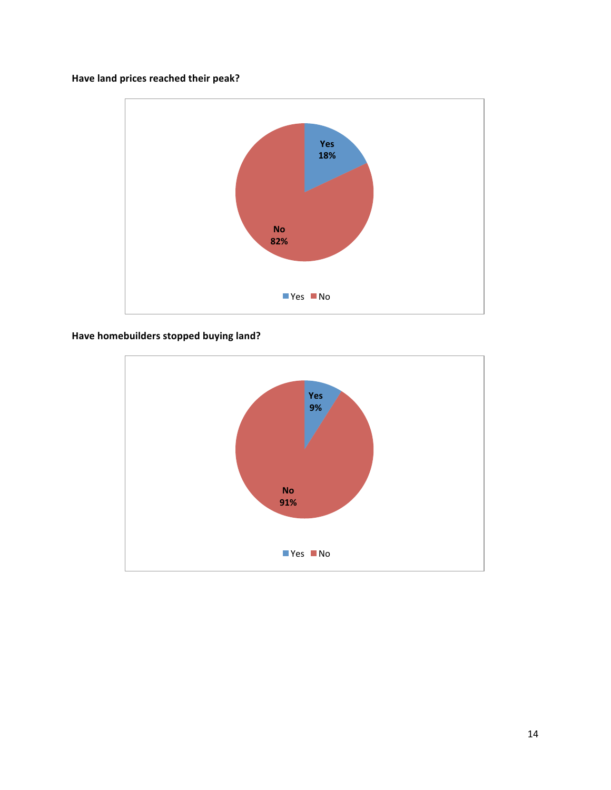# Have land prices reached their peak?



# Have homebuilders stopped buying land?